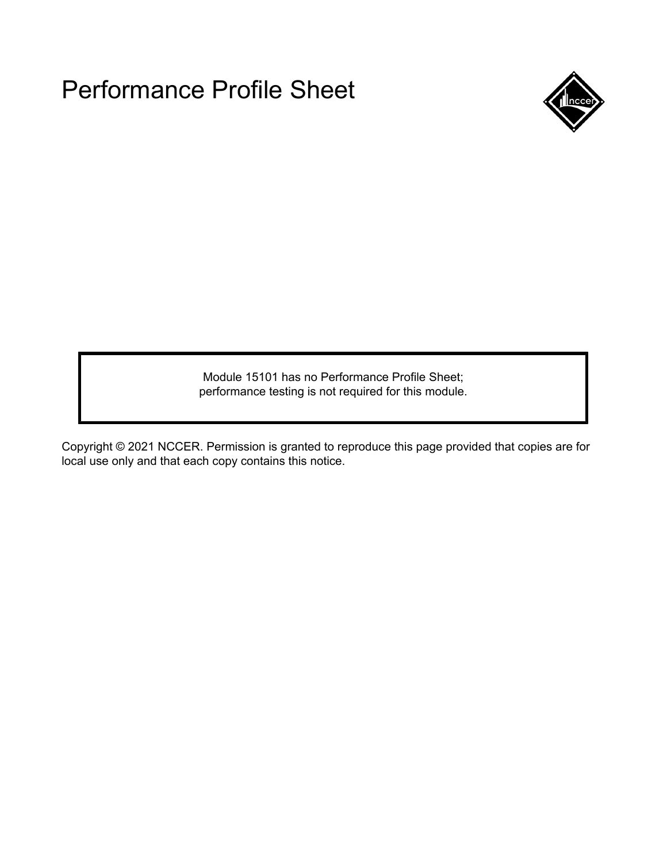

Module 15101 has no Performance Profile Sheet; performance testing is not required for this module.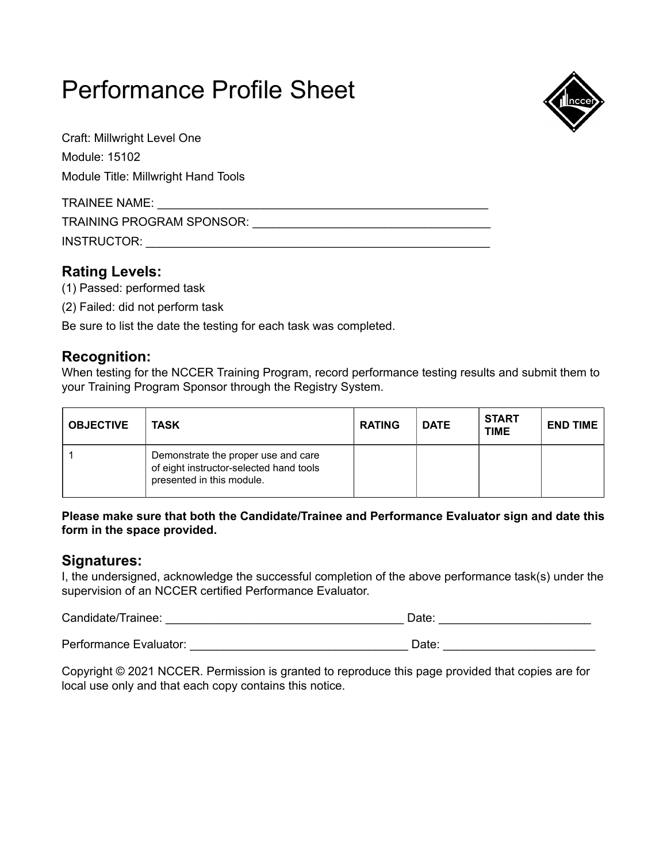

Craft: Millwright Level One Module: 15102 Module Title: Millwright Hand Tools

| TRAINEE NAME:             |  |
|---------------------------|--|
| TRAINING PROGRAM SPONSOR: |  |
| INSTRUCTOR:               |  |

# **Rating Levels:**

- (1) Passed: performed task
- (2) Failed: did not perform task

Be sure to list the date the testing for each task was completed.

# **Recognition:**

When testing for the NCCER Training Program, record performance testing results and submit them to your Training Program Sponsor through the Registry System.

| <b>OBJECTIVE</b> | TASK                                                                                                        | <b>RATING</b> | <b>DATE</b> | <b>START</b><br><b>TIME</b> | <b>END TIME</b> |
|------------------|-------------------------------------------------------------------------------------------------------------|---------------|-------------|-----------------------------|-----------------|
|                  | Demonstrate the proper use and care<br>of eight instructor-selected hand tools<br>presented in this module. |               |             |                             |                 |

#### **Please make sure that both the Candidate/Trainee and Performance Evaluator sign and date this form in the space provided.**

### **Signatures:**

I, the undersigned, acknowledge the successful completion of the above performance task(s) under the supervision of an NCCER certified Performance Evaluator.

Candidate/Trainee: \_\_\_\_\_\_\_\_\_\_\_\_\_\_\_\_\_\_\_\_\_\_\_\_\_\_\_\_\_\_\_\_\_\_\_\_ Date: \_\_\_\_\_\_\_\_\_\_\_\_\_\_\_\_\_\_\_\_\_\_\_

Performance Evaluator: \_\_\_\_\_\_\_\_\_\_\_\_\_\_\_\_\_\_\_\_\_\_\_\_\_\_\_\_\_\_\_\_\_ Date: \_\_\_\_\_\_\_\_\_\_\_\_\_\_\_\_\_\_\_\_\_\_\_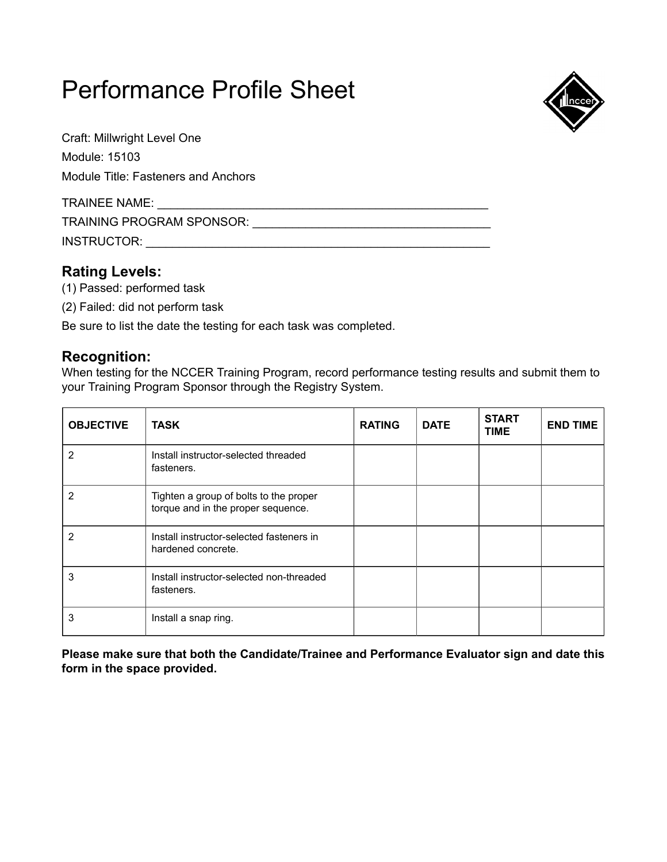

Craft: Millwright Level One Module: 15103 Module Title: Fasteners and Anchors

| <b>TRAINEE NAME:</b>      |  |
|---------------------------|--|
| TRAINING PROGRAM SPONSOR: |  |
| INSTRUCTOR:               |  |

# **Rating Levels:**

- (1) Passed: performed task
- (2) Failed: did not perform task

Be sure to list the date the testing for each task was completed.

### **Recognition:**

When testing for the NCCER Training Program, record performance testing results and submit them to your Training Program Sponsor through the Registry System.

| <b>OBJECTIVE</b> | <b>TASK</b>                                                                  | <b>RATING</b> | <b>DATE</b> | <b>START</b><br><b>TIME</b> | <b>END TIME</b> |
|------------------|------------------------------------------------------------------------------|---------------|-------------|-----------------------------|-----------------|
| 2                | Install instructor-selected threaded<br>fasteners.                           |               |             |                             |                 |
| 2                | Tighten a group of bolts to the proper<br>torque and in the proper sequence. |               |             |                             |                 |
| $\overline{2}$   | Install instructor-selected fasteners in<br>hardened concrete.               |               |             |                             |                 |
| 3                | Install instructor-selected non-threaded<br>fasteners.                       |               |             |                             |                 |
| 3                | Install a snap ring.                                                         |               |             |                             |                 |

**Please make sure that both the Candidate/Trainee and Performance Evaluator sign and date this form in the space provided.**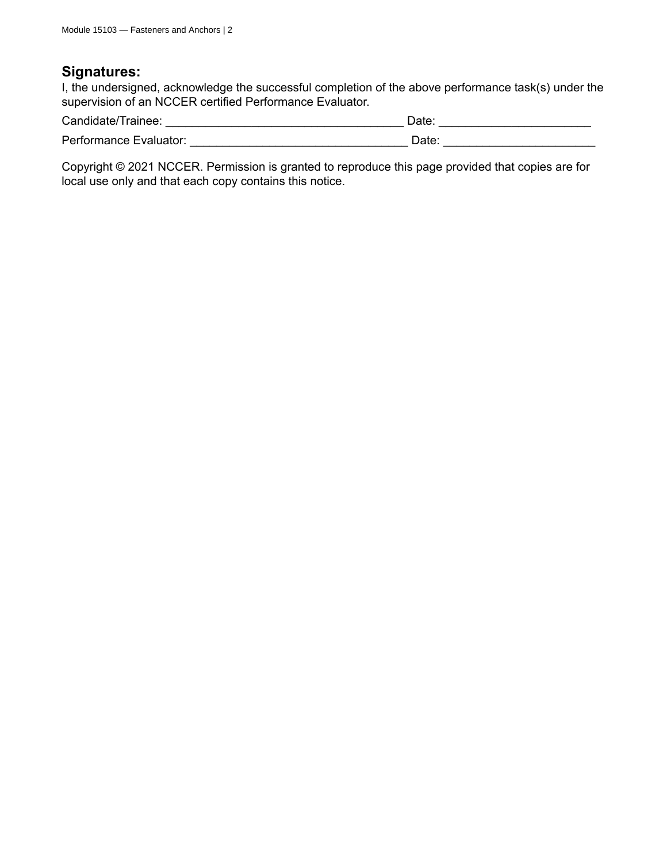#### **Signatures:**

I, the undersigned, acknowledge the successful completion of the above performance task(s) under the supervision of an NCCER certified Performance Evaluator.

| Candidate/Trainee:     | Date: |
|------------------------|-------|
| Performance Evaluator: | Date: |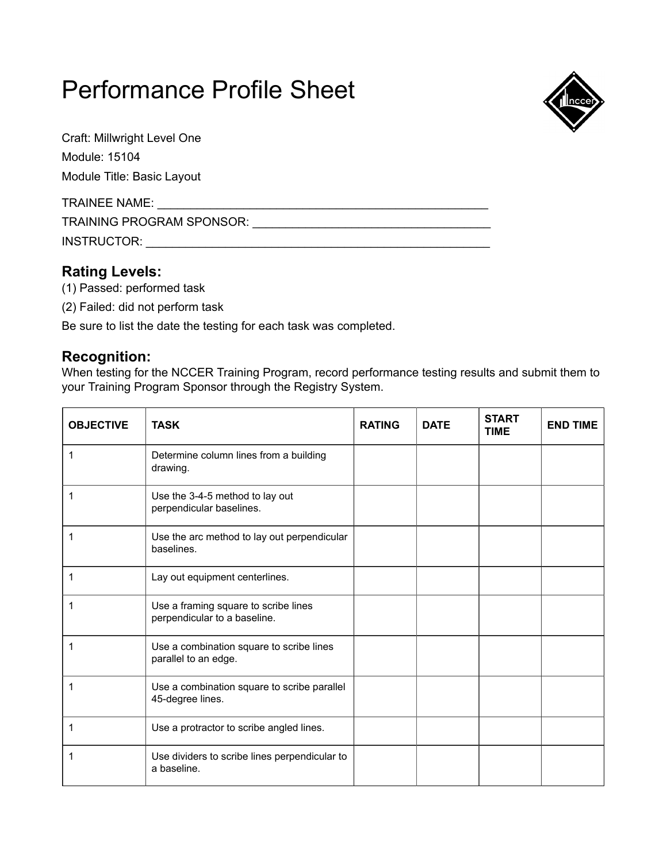

Craft: Millwright Level One Module: 15104

Module Title: Basic Layout

| <b>TRAINEE NAME:</b>             |  |
|----------------------------------|--|
| <b>TRAINING PROGRAM SPONSOR:</b> |  |
| INSTRUCTOR:                      |  |

# **Rating Levels:**

- (1) Passed: performed task
- (2) Failed: did not perform task

Be sure to list the date the testing for each task was completed.

# **Recognition:**

When testing for the NCCER Training Program, record performance testing results and submit them to your Training Program Sponsor through the Registry System.

| <b>OBJECTIVE</b> | <b>TASK</b>                                                          | <b>RATING</b> | <b>DATE</b> | <b>START</b><br><b>TIME</b> | <b>END TIME</b> |
|------------------|----------------------------------------------------------------------|---------------|-------------|-----------------------------|-----------------|
| 1                | Determine column lines from a building<br>drawing.                   |               |             |                             |                 |
| 1                | Use the 3-4-5 method to lay out<br>perpendicular baselines.          |               |             |                             |                 |
| 1                | Use the arc method to lay out perpendicular<br>baselines.            |               |             |                             |                 |
| 1                | Lay out equipment centerlines.                                       |               |             |                             |                 |
| 1                | Use a framing square to scribe lines<br>perpendicular to a baseline. |               |             |                             |                 |
| 1                | Use a combination square to scribe lines<br>parallel to an edge.     |               |             |                             |                 |
| 1                | Use a combination square to scribe parallel<br>45-degree lines.      |               |             |                             |                 |
| 1                | Use a protractor to scribe angled lines.                             |               |             |                             |                 |
| 1                | Use dividers to scribe lines perpendicular to<br>a baseline.         |               |             |                             |                 |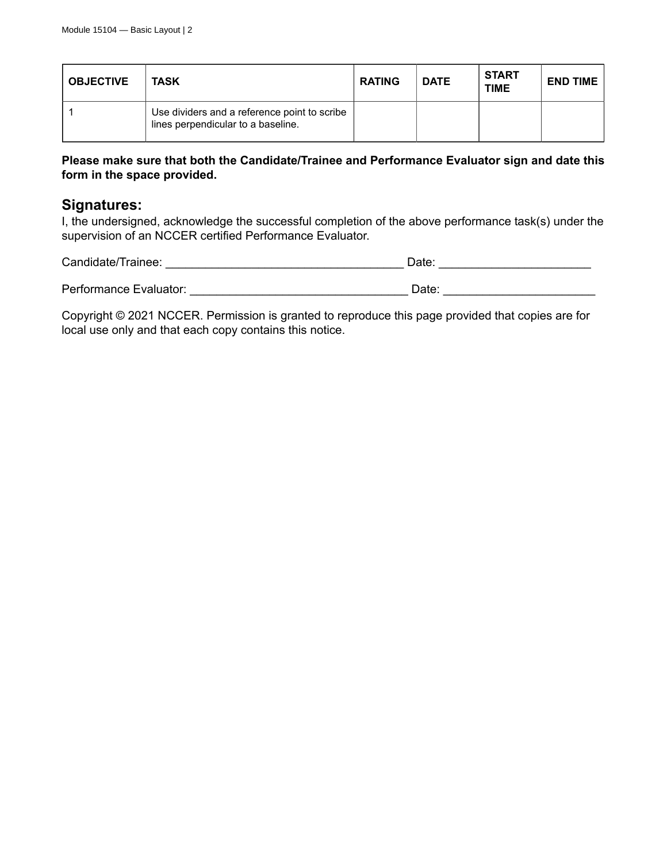| <b>OBJECTIVE</b> | <b>TASK</b>                                                                        | <b>RATING</b> | <b>DATE</b> | <b>START</b><br><b>TIME</b> | <b>END TIME</b> |
|------------------|------------------------------------------------------------------------------------|---------------|-------------|-----------------------------|-----------------|
|                  | Use dividers and a reference point to scribe<br>lines perpendicular to a baseline. |               |             |                             |                 |

#### **Please make sure that both the Candidate/Trainee and Performance Evaluator sign and date this form in the space provided.**

#### **Signatures:**

I, the undersigned, acknowledge the successful completion of the above performance task(s) under the supervision of an NCCER certified Performance Evaluator.

| Candidate/Trainee:     | Date: |
|------------------------|-------|
| Performance Evaluator: | Date: |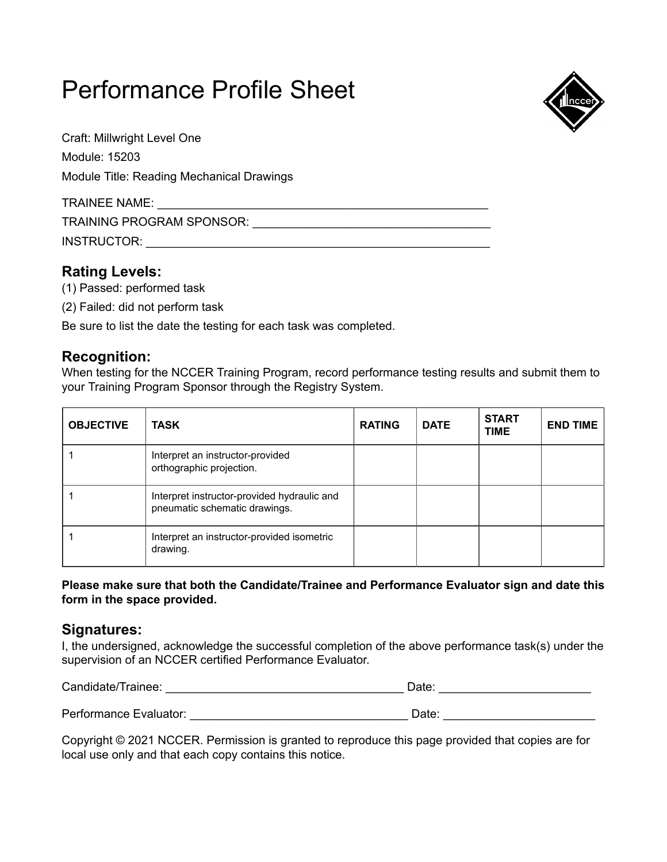

Craft: Millwright Level One Module: 15203 Module Title: Reading Mechanical Drawings

| <b>TRAINEE NAME:</b>      |  |
|---------------------------|--|
| TRAINING PROGRAM SPONSOR: |  |
| INSTRUCTOR:               |  |

# **Rating Levels:**

- (1) Passed: performed task
- (2) Failed: did not perform task

Be sure to list the date the testing for each task was completed.

### **Recognition:**

When testing for the NCCER Training Program, record performance testing results and submit them to your Training Program Sponsor through the Registry System.

| <b>OBJECTIVE</b> | TASK                                                                         | <b>RATING</b> | <b>DATE</b> | <b>START</b><br><b>TIME</b> | <b>END TIME</b> |
|------------------|------------------------------------------------------------------------------|---------------|-------------|-----------------------------|-----------------|
|                  | Interpret an instructor-provided<br>orthographic projection.                 |               |             |                             |                 |
|                  | Interpret instructor-provided hydraulic and<br>pneumatic schematic drawings. |               |             |                             |                 |
|                  | Interpret an instructor-provided isometric<br>drawing.                       |               |             |                             |                 |

**Please make sure that both the Candidate/Trainee and Performance Evaluator sign and date this form in the space provided.**

#### **Signatures:**

I, the undersigned, acknowledge the successful completion of the above performance task(s) under the supervision of an NCCER certified Performance Evaluator.

| Candidate/Trainee:     | Date: |
|------------------------|-------|
| Performance Evaluator: | Date: |